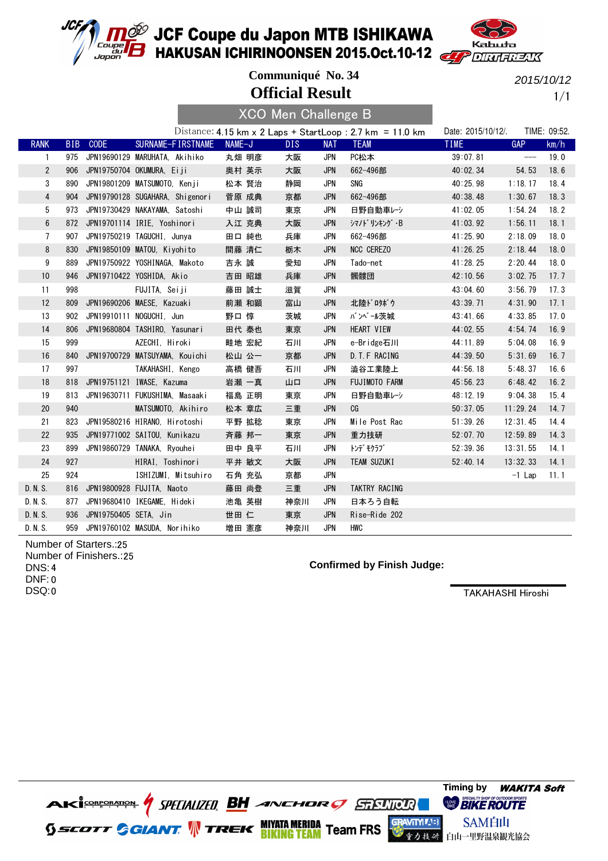



**Official Result Communiqué No. 34**  $\mathbf{v} = \mathbf{v}$ 

2015/10/12

1/1

|                 |     |                                     |                     |                   |        | <b>AUU Men Unalienge B</b> |      |            |                                                           |                    |                   |              |
|-----------------|-----|-------------------------------------|---------------------|-------------------|--------|----------------------------|------|------------|-----------------------------------------------------------|--------------------|-------------------|--------------|
|                 |     |                                     |                     |                   |        |                            |      |            | Distance: 4.15 km x 2 Laps + StartLoop : 2.7 km = 11.0 km | Date: 2015/10/12/. |                   | TIME: 09:52. |
| <b>RANK</b>     |     | BIB CODE                            |                     | SURNAME-FIRSTNAME | NAME-J |                            | DIS. | <b>NAT</b> | <b>TEAM</b>                                               | <b>TIME</b>        | <b>GAP</b>        | km/h         |
| 1               |     | 975 JPN19690129 MARUHATA, Akihiko   |                     |                   |        | 丸畑 明彦                      | 大阪   | <b>JPN</b> | PC松本                                                      | 39:07.81           | $\qquad \qquad -$ | 19.0         |
| $\overline{2}$  | 906 | JPN19750704 OKUMURA, Eiji           |                     |                   |        | 奥村 英示                      | 大阪   | <b>JPN</b> | 662-496部                                                  | 40:02.34           | 54.53             | 18.6         |
| 3               | 890 | JPN19801209 MATSUMOTO, Kenji        |                     |                   | 松本 賢治  |                            | 静岡   | <b>JPN</b> | SNG                                                       | 40:25.98           | 1:18.17           | 18.4         |
| $\overline{4}$  |     | 904 JPN19790128 SUGAHARA, Shigenori |                     |                   | 菅原 成典  |                            | 京都   | <b>JPN</b> | 662-496部                                                  | 40:38.48           | 1:30.67           | 18.3         |
| 5               |     | 973 JPN19730429 NAKAYAMA. Satoshi   |                     |                   |        | 中山 誠司                      | 東京   | <b>JPN</b> | 日野自動車レシ                                                   | 41:02.05           | 1:54.24           | 18.2         |
| $6\phantom{.0}$ |     | 872 JPN19701114 IRIE, Yoshinori     |                     |                   |        | 入江 克典                      | 大阪   | <b>JPN</b> | シマノドリンキング・B                                               | 41:03.92           | 1:56.11           | 18.1         |
| $\overline{7}$  | 907 | JPN19750219 TAGUCHI, Junya          |                     |                   | 田口 純也  |                            | 兵庫   | <b>JPN</b> | 662-496部                                                  | 41:25.90           | 2:18.09           | 18.0         |
| 8               |     | 830 JPN19850109 MATOU, Kiyohito     |                     |                   | 間藤 清仁  |                            | 栃木   | <b>JPN</b> | <b>NCC CEREZO</b>                                         | 41:26.25           | 2:18.44           | 18.0         |
| 9               | 889 | JPN19750922 YOSHINAGA, Makoto       |                     |                   | 吉永 誠   |                            | 愛知   | <b>JPN</b> | Tado-net                                                  | 41:28.25           | 2:20.44           | 18.0         |
| 10              |     | 946 JPN19710422 YOSHIDA, Akio       |                     |                   |        | 吉田 昭雄                      | 兵庫   | <b>JPN</b> | 髑髏団                                                       | 42:10.56           | 3:02.75           | 17.7         |
| 11              | 998 |                                     | FUJITA, Seiji       |                   | 藤田 誠士  |                            | 滋賀   | <b>JPN</b> |                                                           | 43:04.60           | 3:56.79           | 17.3         |
| 12              |     | 809 JPN19690206 MAESE, Kazuaki      |                     |                   | 前瀬 和顕  |                            | 富山   | <b>JPN</b> | 北陸ドロタボウ                                                   | 43:39.71           | 4:31.90           | 17.1         |
| 13              |     | 902 JPN19910111 NOGUCHI. Jun        |                     |                   | 野口 惇   |                            | 茨城   | <b>JPN</b> | バンベール茨城                                                   | 43:41.66           | 4:33.85           | 17.0         |
| 14              |     | 806 JPN19680804 TASHIRO, Yasunari   |                     |                   | 田代 泰也  |                            | 東京   | <b>JPN</b> | HEART VIEW                                                | 44:02.55           | 4:54.74           | 16.9         |
| 15              | 999 |                                     | AZECHI, Hiroki      |                   | 畦地 宏紀  |                            | 石川   | <b>JPN</b> | e-Bridge石川                                                | 44:11.89           | 5:04.08           | 16.9         |
| 16              |     | 840 JPN19700729 MATSUYAMA, Kouichi  |                     |                   | 松山 公一  |                            | 京都   | <b>JPN</b> | D. T. F RACING                                            | 44:39.50           | 5:31.69           | 16.7         |
| 17              | 997 |                                     | TAKAHASHI, Kengo    |                   |        | 高橋 健吾                      | 石川   | <b>JPN</b> | 澁谷工業陸上                                                    | 44:56.18           | 5:48.37           | 16.6         |
| 18              |     | 818 JPN19751121 IWASE, Kazuma       |                     |                   | 岩瀬 一真  |                            | 山口   | <b>JPN</b> | <b>FUJIMOTO FARM</b>                                      | 45:56.23           | 6:48.42           | 16.2         |
| 19              |     | 813 JPN19630711 FUKUSHIMA. Masaaki  |                     |                   | 福島 正明  |                            | 東京   | <b>JPN</b> | 日野自動車レシ                                                   | 48:12.19           | 9:04.38           | 15.4         |
| 20              | 940 |                                     | MATSUMOTO, Akihiro  |                   | 松本 章広  |                            | 三重   | <b>JPN</b> | CG                                                        | 50:37.05           | 11:29.24          | 14.7         |
| 21              |     | 823 JPN19580216 HIRANO, Hirotoshi   |                     |                   |        | 平野 拡稔                      | 東京   | <b>JPN</b> | Mile Post Rac                                             | 51:39.26           | 12:31.45          | 14.4         |
| 22              |     | 935 JPN19771002 SAITOU, Kunikazu    |                     |                   | 斉藤 邦一  |                            | 東京   | <b>JPN</b> | 重力技研                                                      | 52:07.70           | 12:59.89          | 14.3         |
| 23              |     | 899 JPN19860729 TANAKA, Ryouhei     |                     |                   | 田中 良平  |                            | 石川   | JPN        | トンデ゛モクラブ゛                                                 | 52:39.36           | 13:31.55          | 14.1         |
| 24              | 927 |                                     | HIRAI, Toshinori    |                   | 平井 敏文  |                            | 大阪   | <b>JPN</b> | TEAM SUZUKI                                               | 52:40.14           | 13:32.33          | 14.1         |
| 25              | 924 |                                     | ISHIZUMI, Mitsuhiro |                   |        | 石角 充弘                      | 京都   | <b>JPN</b> |                                                           |                    | $-1$ Lap          | 11.1         |
| D. N. S.        |     | 816 JPN19800928 FUJITA, Naoto       |                     |                   |        | 藤田 尚登                      | 三重   | <b>JPN</b> | TAKTRY RACING                                             |                    |                   |              |
| D. N. S.        |     | 877 JPN19680410 IKEGAME. Hideki     |                     |                   |        | 池亀 英樹                      | 神奈川  | <b>JPN</b> | 日本ろう自転                                                    |                    |                   |              |
| D. N. S.        |     | 936 JPN19750405 SETA, Jin           |                     |                   | 世田仁    |                            | 東京   | <b>JPN</b> | Rise-Ride 202                                             |                    |                   |              |
| D. N. S.        |     | 959 JPN19760102 MASUDA, Norihiko    |                     |                   | 増田 憲彦  |                            | 神奈川  | <b>JPN</b> | HWC                                                       |                    |                   |              |

Number of Starters.: 25 Number of Finishers.: 25 4 DNS: 0 DNF: 0 DSQ:

**Confirmed by Finish Judge:**

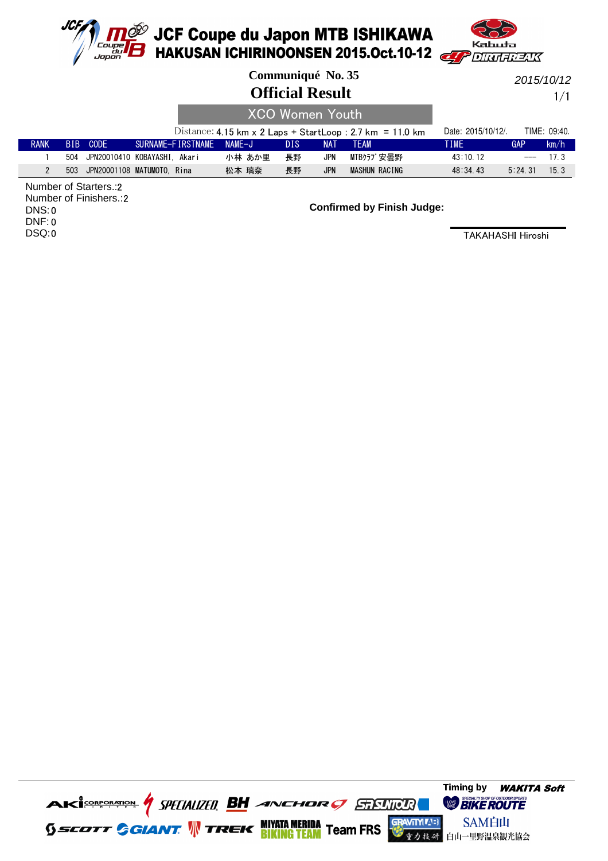



|             |      |                              |                          |        | Communiqué No. 35<br><b>Official Result</b> |            |                                                           |                    |     | 2015/10/12<br>1/1 |
|-------------|------|------------------------------|--------------------------|--------|---------------------------------------------|------------|-----------------------------------------------------------|--------------------|-----|-------------------|
|             |      |                              |                          |        | <b>XCO Women Youth</b>                      |            |                                                           |                    |     |                   |
|             |      |                              |                          |        |                                             |            | Distance: 4.15 km x 2 Laps + StartLoop : 2.7 km = 11.0 km | Date: 2015/10/12/. |     | TIME: 09:40.      |
| <b>RANK</b> | BIB. | CODE                         | SURNAME-FIRSTNAME NAME-J |        | <b>DIS</b>                                  | <b>NAT</b> | <b>TFAM</b>                                               | <b>TIME</b>        | GAP | km/h              |
|             | 504  | JPN20010410 KOBAYASHI, Akari |                          | 小林 あか里 | 長野                                          | <b>JPN</b> | MTBクラブ安曇野                                                 | 43:10.12           |     | 17.3              |

2 503 JPN20001108 松本 璃奈 MATUMOTO, Rina 長野 MASHUN RACING 48:34.43 5:24.31 15.3 JPN

2 Number of Starters.: 2 Number of Finishers.: 0 DNS: 0 DNF: 0 DSQ:

**Confirmed by Finish Judge:**

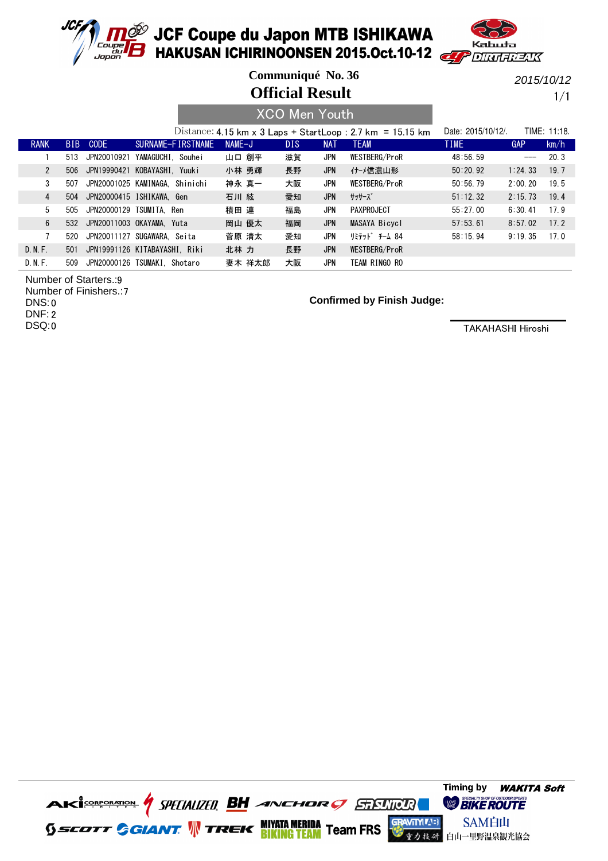



**Communiqué No. 36**

**Official Result**

2015/10/12

1/1

|                |     |                                |                  |                   |          |        | <b>XCO Men Youth</b> |            |                                                            |                    |         |              |
|----------------|-----|--------------------------------|------------------|-------------------|----------|--------|----------------------|------------|------------------------------------------------------------|--------------------|---------|--------------|
|                |     |                                |                  |                   |          |        |                      |            | Distance: 4.15 km x 3 Laps + StartLoop : 2.7 km = 15.15 km | Date: 2015/10/12/. |         | TIME: 11:18. |
| <b>RANK</b>    | BIB | <b>CODE</b>                    |                  | SURNAME-FIRSTNAME | $NAME-J$ |        | DIS.                 | <b>NAT</b> | <b>TEAM</b>                                                | <b>TIME</b>        | GAP     | km/h         |
|                | 513 | JPN20010921                    | YAMAGUCHI Souhei |                   |          | 山口 創平  | 滋賀                   | JPN        | WESTBERG/ProR                                              | 48:56.59           | $ -$    | 20.3         |
| $\overline{2}$ | 506 | JPN19990421 KOBAYASHI. Yuuki   |                  |                   |          | 小林 勇輝  | 長野                   | <b>JPN</b> | 仕‐メ信濃山形                                                    | 50:20.92           | 1:24.33 | 19.7         |
| 3              | 507 | JPN20001025 KAMINAGA. Shinichi |                  |                   |          | 神永 真一  | 大阪                   | <b>JPN</b> | WESTBERG/ProR                                              | 50:56.79           | 2:00.20 | 19.5         |
| 4              | 504 | JPN20000415 ISHIKAWA. Gen      |                  |                   | 石川 絃     |        | 愛知                   | <b>JPN</b> | サッサーズ゛                                                     | 51:12.32           | 2:15.73 | 19.4         |
| 5              | 505 | JPN20000129 TSUMITA. Ren       |                  |                   | 積田 連     |        | 福島                   | <b>JPN</b> | PAXPROJECT                                                 | 55:27.00           | 6:30.41 | 17.9         |
| 6              | 532 | JPN20011003 OKAYAMA. Yuta      |                  |                   |          | 岡山 優太  | 福岡                   | <b>JPN</b> | MASAYA Bicycl                                              | 57:53.61           | 8:57.02 | 17.2         |
|                | 520 | JPN20011127 SUGAWARA, Seita    |                  |                   |          | 菅原 清太  | 愛知                   | <b>JPN</b> | リミテット゛ チーム 84                                              | 58:15.94           | 9:19.35 | 17.0         |
| D. N. F.       | 501 | JPN19991126 KITABAYASHI, Riki  |                  |                   | 北林 力     |        | 長野                   | <b>JPN</b> | WESTBERG/ProR                                              |                    |         |              |
| D. N. F.       | 509 | JPN20000126 TSUMAKI, Shotaro   |                  |                   |          | 妻木 祥太郎 | 大阪                   | JPN        | TEAM RINGO RO                                              |                    |         |              |

9 Number of Starters.:

Number of Finishers.: 7 0 DNS: 2 DNF:

0 DSQ:

#### **Confirmed by Finish Judge:**

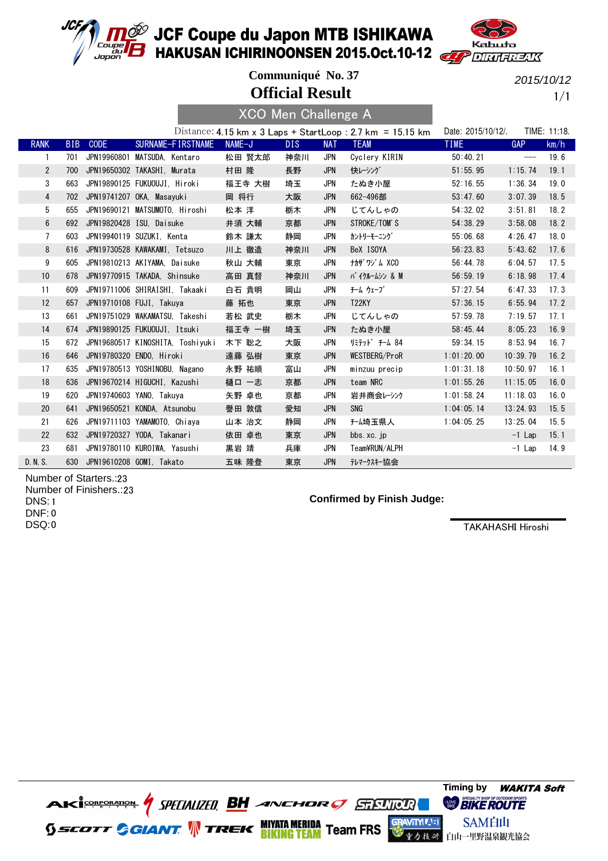



**Official Result Communiqué No. 37**

2015/10/12

1/1

|                 |            |             |                                  | <b>XCO Men Challenge A</b> |      |            |                                                            |                    |          |              |
|-----------------|------------|-------------|----------------------------------|----------------------------|------|------------|------------------------------------------------------------|--------------------|----------|--------------|
|                 |            |             |                                  |                            |      |            | Distance: 4.15 km x 3 Laps + StartLoop : 2.7 km = 15.15 km | Date: 2015/10/12/. |          | TIME: 11:18. |
| <b>RANK</b>     | <b>BIB</b> | <b>CODE</b> | SURNAME-FIRSTNAME                | NAME-J                     | DIS. | <b>NAT</b> | <b>TEAM</b>                                                | <b>TIME</b>        | GAP      | km/h         |
| 1               | 701        |             | JPN19960801 MATSUDA. Kentaro     | 松田 賢太郎                     | 神奈川  | <b>JPN</b> | Cyclery KIRIN                                              | 50:40.21           | $---$    | 19.6         |
| $\mathbf{2}$    | 700        |             | JPN19650302 TAKASHI, Murata      | 村田 隆                       | 長野   | <b>JPN</b> | 快レーシング                                                     | 51:55.95           | 1:15.74  | 19.1         |
| 3               | 663        |             | JPN19890125 FUKUOUJI, Hiroki     | 福王寺 大樹                     | 埼玉   | <b>JPN</b> | たぬき小屋                                                      | 52:16.55           | 1:36.34  | 19.0         |
| 4               | 702        |             | JPN19741207 OKA, Masayuki        | 岡 将行                       | 大阪   | <b>JPN</b> | 662-496部                                                   | 53:47.60           | 3:07.39  | 18.5         |
| 5               | 655        |             | JPN19690121 MATSUMOTO. Hiroshi   | 松本 洋                       | 栃木   | <b>JPN</b> | じてんしゃの                                                     | 54:32.02           | 3:51.81  | 18.2         |
| $6\phantom{.0}$ | 692        |             | JPN19820428 ISU, Daisuke         | 井須 大輔                      | 京都   | <b>JPN</b> | STROKE/TOM'S                                               | 54:38.29           | 3:58.08  | 18.2         |
| 7               | 603        |             | JPN19940119 SUZUKI, Kenta        | 鈴木 謙太                      | 静岡   | JPN        | カントリーモーニング゛                                                | 55:06.68           | 4:26.47  | 18.0         |
| 8               | 616        |             | JPN19730528 KAWAKAMI, Tetsuzo    | 川上 徹造                      | 神奈川  | <b>JPN</b> | BeX ISOYA                                                  | 56:23.83           | 5:43.62  | 17.6         |
| 9               | 605        |             | JPN19810213 AKIYAMA, Daisuke     | 秋山 大輔                      | 東京   | <b>JPN</b> | ナカザワジム XCO                                                 | 56:44.78           | 6:04.57  | 17.5         |
| 10              | 678        |             | JPN19770915 TAKADA, Shinsuke     | 高田 真督                      | 神奈川  | <b>JPN</b> | バイクルームシン & M                                               | 56:59.19           | 6:18.98  | 17.4         |
| 11              | 609        |             | JPN19711006 SHIRAISHI, Takaaki   | 白石 貴明                      | 岡山   | JPN        | チーム ウェーブ                                                   | 57:27.54           | 6:47.33  | 17.3         |
| 12              | 657        |             | JPN19710108 FUJI, Takuya         | 藤 拓也                       | 東京   | <b>JPN</b> | <b>T22KY</b>                                               | 57:36.15           | 6:55.94  | 17.2         |
| 13              | 661        |             | JPN19751029 WAKAMATSU, Takeshi   | 若松 武史                      | 栃木   | JPN        | じてんしゃの                                                     | 57:59.78           | 7:19.57  | 17.1         |
| 14              | 674        |             | JPN19890125 FUKUOUJI, Itsuki     | 福王寺 一樹                     | 埼玉   | <b>JPN</b> | たぬき小屋                                                      | 58:45.44           | 8:05.23  | 16.9         |
| 15              | 672        |             | JPN19680517 KINOSHITA, Toshiyuki | 木下 聡之                      | 大阪   | JPN        | リミテット゛ チーム 84                                              | 59:34.15           | 8:53.94  | 16.7         |
| 16              | 646        |             | JPN19780320 ENDO, Hiroki         | 遠藤 弘樹                      | 東京   | <b>JPN</b> | WESTBERG/ProR                                              | 1:01:20.00         | 10:39.79 | 16.2         |
| 17              | 635        |             | JPN19780513 YOSHINOBU, Nagano    | 永野 祐順                      | 富山   | JPN        | minzuu precip                                              | 1:01:31.18         | 10:50.97 | 16.1         |
| 18              | 636        |             | JPN19670214 HIGUCHI. Kazushi     | 樋口 一志                      | 京都   | <b>JPN</b> | team NRC                                                   | 1:01:55.26         | 11:15.05 | 16.0         |
| 19              | 620        |             | JPN19740603 YANO, Takuya         | 矢野 卓也                      | 京都   | JPN        | 岩井商会レーシンク                                                  | 1:01:58.24         | 11:18.03 | 16.0         |
| 20              | 641        |             | JPN19650521 KONDA, Atsunobu      | 譽田 敦信                      | 愛知   | <b>JPN</b> | SNG                                                        | 1:04:05.14         | 13:24.93 | 15.5         |
| 21              | 626        |             | JPN19711103 YAMAMOTO, Chiaya     | 山本 治文                      | 静岡   | JPN        | f-ム埼玉県人                                                    | 1:04:05.25         | 13:25.04 | 15.5         |
| 22              | 632        |             | JPN19720327 YODA, Takanari       | 依田 卓也                      | 東京   | <b>JPN</b> | bbs.xc.jp                                                  |                    | $-1$ Lap | 15.1         |
| 23              | 681        |             | JPN19780110 KUROIWA, Yasushi     | 黒岩 靖                       | 兵庫   | JPN        | Team¥RUN/ALPH                                              |                    | $-1$ Lap | 14.9         |
| D. N. S.        |            |             | 630 JPN19610208 GOMI, Takato     | 五味 隆登                      | 東京   | <b>JPN</b> | テレマークスキー協会                                                 |                    |          |              |

Number of Starters.:23 Number of Finishers.: 23 1 DNS: 0 DNF: 0 DSQ:

### **Confirmed by Finish Judge:**

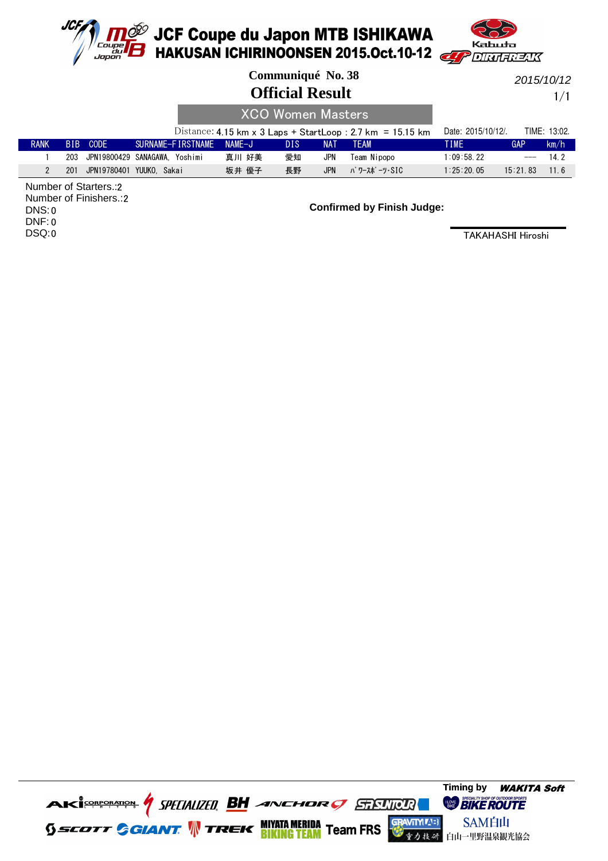

**1<sup>069</sup> JCF Coupe du Japon MTB ISHIKAWA**<br>**16 HAKUSAN ICHIRINOONSEN 2015.Oct.10-12** 



|                       |     |                               |              |                   |          | Communiqué No. 38        |            |                                                            |                    |          | 2015/10/12   |
|-----------------------|-----|-------------------------------|--------------|-------------------|----------|--------------------------|------------|------------------------------------------------------------|--------------------|----------|--------------|
|                       |     |                               |              |                   | 1/1      |                          |            |                                                            |                    |          |              |
|                       |     |                               |              |                   |          | <b>XCO Women Masters</b> |            |                                                            |                    |          |              |
|                       |     |                               |              |                   |          |                          |            | Distance: 4.15 km x 3 Laps + StartLoop : 2.7 km = 15.15 km | Date: 2015/10/12/. |          | TIME: 13:02. |
| <b>RANK</b>           |     | BIB CODE                      |              | SURNAME-FIRSTNAME | $NAME-J$ | <b>DIS</b>               | NAT        | <b>TEAM</b>                                                | TIME.              | GAP      | km/h         |
|                       | 203 | JPN19800429 SANAGAWA. Yoshimi |              |                   | 真川 好美    | 愛知                       | JPN        | Team Nipopo                                                | 1:09:58.22         | $---$    | 14.2         |
| $\mathbf{2}^{\prime}$ | 201 | JPN19780401                   | YUUKO. Sakai |                   | 坂井 優子    | 長野                       | <b>JPN</b> | パ ワースポ ーツ・SIC                                              | 1:25:20.05         | 15:21.83 | 11.6         |

2 Number of Starters.: 2 Number of Finishers.: 0 DNS: 0 DNF: 0 DSQ:

**Confirmed by Finish Judge:**

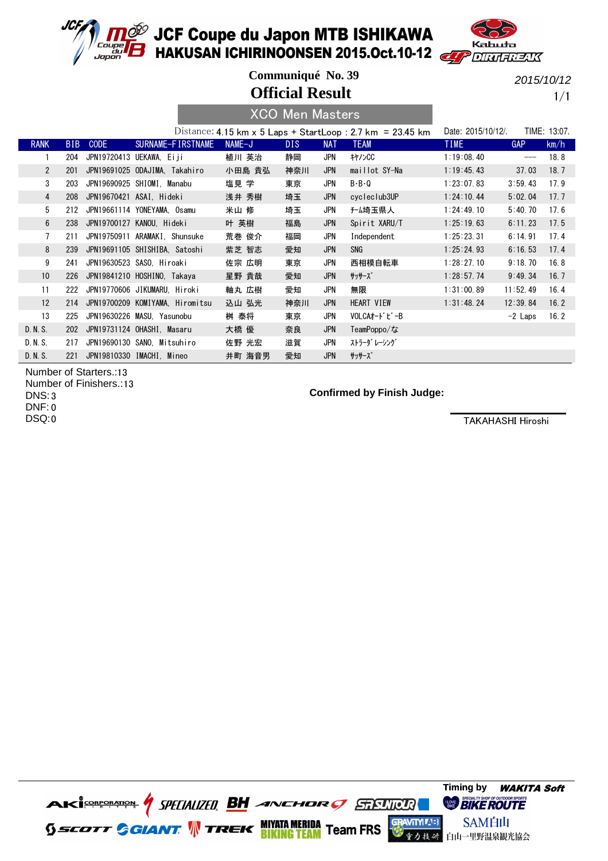



**Official Result Communiqué No. 39**

2015/10/12

1/1

|                |            |      |                                 |        | <b>XCO Men Masters</b> |            |                                                            |                    |            |              |
|----------------|------------|------|---------------------------------|--------|------------------------|------------|------------------------------------------------------------|--------------------|------------|--------------|
|                |            |      |                                 |        |                        |            | Distance: 4.15 km x 5 Laps + StartLoop : 2.7 km = 23.45 km | Date: 2015/10/12/. |            | TIME: 13:07. |
| <b>RANK</b>    | <b>BIB</b> | CODE | SURNAME-FIRSTNAME               | NAME-J | DIS.                   | <b>NAT</b> | <b>TEAM</b>                                                | <b>TIME</b>        | <b>GAP</b> | km/h         |
|                | 204        |      | JPN19720413 UEKAWA, Eiji        | 植川 英治  | 静岡                     | <b>JPN</b> | +1/CC                                                      | 1:19:08.40         | ---        | 18.8         |
| $2^{\circ}$    | 201        |      | JPN19691025 ODAJIMA, Takahiro   | 小田島 貴弘 | 神奈川                    | <b>JPN</b> | maillot SY-Na                                              | 1:19:45.43         | 37.03      | 18.7         |
| 3              | 203        |      | JPN19690925 SHIOMI. Manabu      | 塩見 学   | 東京                     | JPN        | $B - B - Q$                                                | 1:23:07.83         | 3:59.43    | 17.9         |
| $\overline{4}$ | 208        |      | JPN19670421 ASAI, Hideki        | 浅井 秀樹  | 埼玉                     | <b>JPN</b> | cycleclub3UP                                               | 1:24:10.44         | 5:02.04    | 17.7         |
| 5              | 212        |      | JPN19661114 YONEYAMA. Osamu     | 米山 修   | 埼玉                     | <b>JPN</b> | <b>f-ム埼玉県人</b>                                             | 1:24:49.10         | 5:40.70    | 17.6         |
| $6\phantom{1}$ | 238        |      | JPN19700127 KANOU, Hideki       | 叶 英樹   | 福島                     | <b>JPN</b> | Spirit XARU/T                                              | 1:25:19.63         | 6:11.23    | 17.5         |
| $\overline{7}$ | 211        |      | JPN19750911 ARAMAKI, Shunsuke   | 荒巻 俊介  | 福岡                     | JPN        | Independent                                                | 1:25:23.31         | 6:14.91    | 17.4         |
| 8              | 239        |      | JPN19691105 SHISHIBA, Satoshi   | 紫芝 智志  | 愛知                     | <b>JPN</b> | SNG                                                        | 1:25:24.93         | 6:16.53    | 17.4         |
| 9              | 241        |      | JPN19630523 SASO, Hiroaki       | 佐宗 広明  | 東京                     | JPN        | 西相模自転車                                                     | 1:28:27.10         | 9:18.70    | 16.8         |
| 10             | 226        |      | JPN19841210 HOSHINO, Takaya     | 星野 貴哉  | 愛知                     | <b>JPN</b> | サッサーズ゛                                                     | 1:28:57.74         | 9:49.34    | 16.7         |
| 11             | 222        |      | JPN19770606 JIKUMARU, Hiroki    | 軸丸 広樹  | 愛知                     | <b>JPN</b> | 無限                                                         | 1:31:00.89         | 11:52.49   | 16.4         |
| 12             | 214        |      | JPN19700209 KOMIYAMA, Hiromitsu | 込山 弘光  | 神奈川                    | <b>JPN</b> | HEART VIEW                                                 | 1:31:48.24         | 12:39.84   | 16.2         |
| 13             | 225        |      | JPN19630226 MASU. Yasunobu      | 桝 泰将   | 東京                     | JPN        | VOLCAオードビーB                                                |                    | $-2$ Laps  | 16.2         |
| D. N. S.       | 202        |      | JPN19731124 OHASHI, Masaru      | 大橋 優   | 奈良                     | <b>JPN</b> | TeamPoppo/な                                                |                    |            |              |
| D. N. S.       | 217        |      | JPN19690130 SANO, Mitsuhiro     | 佐野 光宏  | 滋賀                     | JPN        | ストラーダ レーシング                                                |                    |            |              |
| D. N. S.       | 221        |      | JPN19810330 IMACHI, Mineo       | 井町 海音男 | 愛知                     | <b>JPN</b> | サッサーズ゛                                                     |                    |            |              |

Number of Starters.:13 Number of Finishers.: 13 3 DNS: 0 DNF: 0 DSQ:

#### **Confirmed by Finish Judge:**

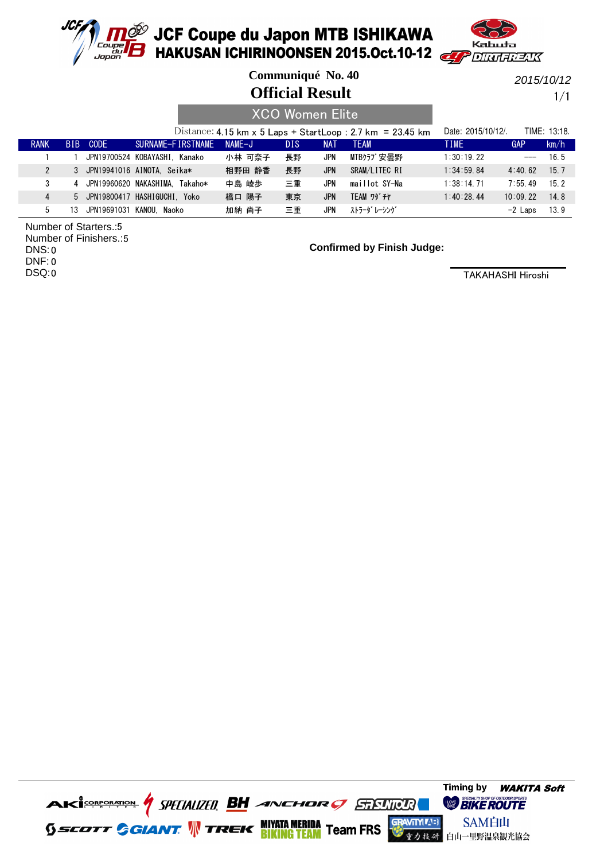



**Communiqué No. 40**

**Official Result**

2015/10/12

1/1

|                |      |                    |                                |        |      | <b>XCO Women Elite</b> |                                                            |                    |            |                 |
|----------------|------|--------------------|--------------------------------|--------|------|------------------------|------------------------------------------------------------|--------------------|------------|-----------------|
|                |      |                    |                                |        |      |                        | Distance: 4.15 km x 5 Laps + StartLoop : 2.7 km = 23.45 km | Date: 2015/10/12/. |            | TIME: 13:18.    |
| <b>RANK</b>    | BIB. | CODE               | SURNAME-FIRSTNAME              | NAME-J | DIS. | <b>NAT</b>             | <b>TEAM</b>                                                | <b>TIME</b>        | GAP        | km/h            |
|                |      |                    | JPN19700524 KOBAYASHI. Kanako  | 小林 可奈子 | 長野   | JPN                    | MTBクラブ安曇野                                                  | 1:30:19.22         |            | 16.5            |
| $\mathfrak{p}$ | 3    |                    | JPN19941016 AINOTA. Seika*     | 相野田 静香 | 長野   | <b>JPN</b>             | SRAM/LITEC RI                                              | 1:34:59.84         | 4:40.62    | 15.7            |
| 3              | 4    |                    | JPN19960620 NAKASHIMA. Takaho* | 中島 崚歩  | 三重   | JPN                    | maillot SY-Na                                              | 1:38:14.71         | $7:55$ 49  | 15 <sub>2</sub> |
| 4              |      |                    | 5 JPN19800417 HASHIGUCHI. Yoko | 橋口 陽子  | 東京   | <b>JPN</b>             | <b>TEAM ワダ チヤ</b>                                          | 1:40:28.44         | $10:09$ 22 | 14.8            |
| 5              | 13   | JPN19691031 KANOU. | Naoko                          | 加納 尚子  | 三重   | JPN                    | ストラーダ レーシング                                                |                    | $-2$ Laps  | 13.9            |

5 Number of Starters.: 5 Number of Finishers.: 0 DNS: 0 DNF: 0 DSQ:

**Confirmed by Finish Judge:**

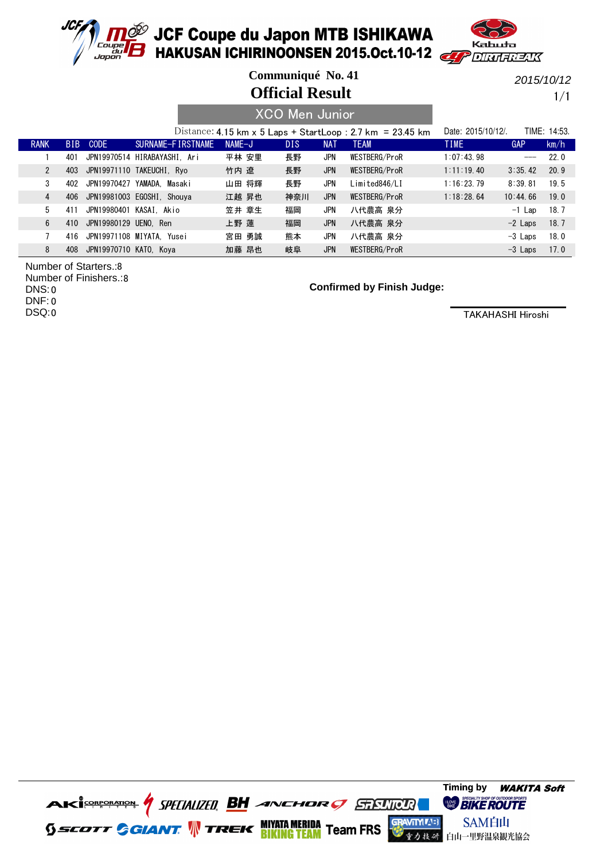



**Official Result Communiqué No. 41**

2015/10/12

1/1

|              |      |                              |                   |          |       | <u>XCO Men Junior</u> |            |                                                            |                    |            |              |
|--------------|------|------------------------------|-------------------|----------|-------|-----------------------|------------|------------------------------------------------------------|--------------------|------------|--------------|
|              |      |                              |                   |          |       |                       |            | Distance: 4.15 km x 5 Laps + StartLoop : 2.7 km = 23.45 km | Date: 2015/10/12/. |            | TIME: 14:53. |
| <b>RANK</b>  | BIB. | <b>CODE</b>                  | SURNAME-FIRSTNAME | $NAME-J$ |       | <b>DIS</b>            | <b>NAT</b> | <b>TEAM</b>                                                | <b>TIME</b>        | <b>GAP</b> | km/h         |
|              | 401  | JPN19970514 HIRABAYASHI. Ari |                   |          | 平林 安里 | 長野                    | JPN        | WESTBERG/ProR                                              | 1:07:43.98         | ---        | 22.0         |
| $\mathbf{2}$ | 403  | JPN19971110 TAKEUCHI, Ryo    |                   | 竹内 遼     |       | 長野                    | <b>JPN</b> | WESTBERG/ProR                                              | 1:11:19.40         | 3:35.42    | 20.9         |
| 3            | 402  | JPN19970427 YAMADA. Masaki   |                   |          | 山田 将輝 | 長野                    | <b>JPN</b> | Limited846/LI                                              | 1:16:23.79         | 8:39.81    | 19.5         |
| 4            | 406  | JPN19981003 EGOSHI, Shouya   |                   |          | 江越 昇也 | 神奈川                   | <b>JPN</b> | WESTBERG/ProR                                              | 1:18:28.64         | 10:44.66   | 19.0         |
| 5            | 411  | JPN19980401 KASAI, Akio      |                   |          | 笠井 章生 | 福岡                    | JPN        | 八代農高 泉分                                                    |                    | $-1$ Lap   | 18.7         |
| 6            | 410  | JPN19980129 UENO. Ren        |                   | 上野 蓮     |       | 福岡                    | <b>JPN</b> | 八代農高 泉分                                                    |                    | $-2$ Laps  | 18.7         |
|              | 416  | JPN19971108 MIYATA. Yusei    |                   |          | 宮田 勇誠 | 熊本                    | JPN        | 八代農高 泉分                                                    |                    | $-3$ Laps  | 18.0         |
| 8            | 408  | JPN19970710 KATO, Kova       |                   |          | 加藤 昂也 | 岐阜                    | <b>JPN</b> | WESTBERG/ProR                                              |                    | $-3$ Laps  | 17.0         |

8 Number of Starters.: 8 Number of Finishers.: 0 DNS:

0 DNF:

0 DSQ:

**Confirmed by Finish Judge:**

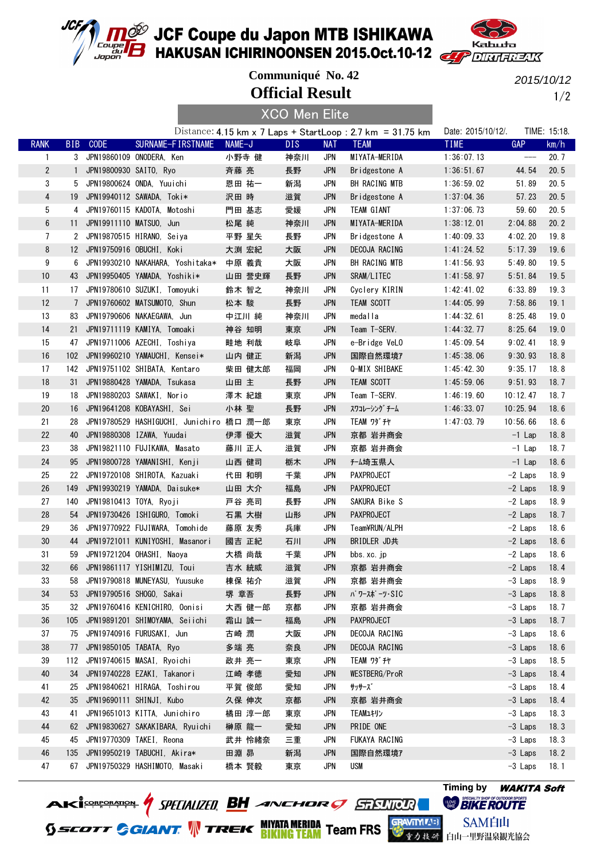



**Official Result Communiqué No. 42**

XCO Men Elite

2015/10/12

1/2

|                 |                 |                          |                                          |        | <b>VOO INIGH LIITG</b> |            |                                                             |                    |                   |              |
|-----------------|-----------------|--------------------------|------------------------------------------|--------|------------------------|------------|-------------------------------------------------------------|--------------------|-------------------|--------------|
|                 |                 |                          |                                          |        |                        |            | Distance: 4.15 km x 7 Laps + StartLoop: 2.7 km = $31.75$ km | Date: 2015/10/12/. |                   | TIME: 15:18. |
| <b>RANK</b>     | <b>BIB</b>      | <b>CODE</b>              | SURNAME-FIRSTNAME                        | NAME-J | DIS.                   | <b>NAT</b> | <b>TEAM</b>                                                 | <b>TIME</b>        | <b>GAP</b>        | km/h         |
| $\mathbf{1}$    |                 |                          | 3 JPN19860109 ONODERA, Ken               | 小野寺 健  | 神奈川                    | JPN        | MIYATA-MERIDA                                               | 1:36:07.13         | $\qquad \qquad -$ | 20.7         |
| $\overline{2}$  |                 | 1 JPN19800930 SAITO, Ryo |                                          | 斉藤 亮   | 長野                     | <b>JPN</b> | Bridgestone A                                               | 1:36:51.67         | 44.54             | 20.5         |
| 3               | 5               |                          | JPN19800624 ONDA, Yuuichi                | 恩田 祐一  | 新潟                     | <b>JPN</b> | BH RACING MTB                                               | 1:36:59.02         | 51.89             | 20.5         |
| $\overline{4}$  |                 |                          | 19 JPN19940112 SAWADA, Toki*             | 沢田 時   | 滋賀                     | <b>JPN</b> | Bridgestone A                                               | 1:37:04.36         | 57.23             | 20.5         |
| 5               | 4               |                          | JPN19760115 KADOTA, Motoshi              | 門田 基志  | 愛媛                     | <b>JPN</b> | TEAM GIANT                                                  | 1:37:06.73         | 59.60             | 20.5         |
| $6\phantom{1}6$ |                 |                          | 11 JPN19911110 MATSU0, Jun               | 松尾 純   | 神奈川                    | <b>JPN</b> | MIYATA-MERIDA                                               | 1:38:12.01         | 2:04.88           | 20.2         |
| $\overline{7}$  |                 |                          | 2 JPN19870515 HIRANO, Seiya              | 平野 星矢  | 長野                     | <b>JPN</b> | Bridgestone A                                               | 1:40:09.33         | 4:02.20           | 19.8         |
| 8               |                 |                          | 12 JPN19750916 OBUCHI, Koki              | 大渕 宏紀  | 大阪                     | <b>JPN</b> | DECOJA RACING                                               | 1:41:24.52         | 5:17.39           | 19.6         |
| 9               | 6               |                          | JPN19930210 NAKAHARA, Yoshitaka*         | 中原 義貴  | 大阪                     | <b>JPN</b> | BH RACING MTB                                               | 1:41:56.93         | 5:49.80           | 19.5         |
| 10              | 43              |                          | JPN19950405 YAMADA, Yoshiki*             | 山田 誉史輝 | 長野                     | <b>JPN</b> | SRAM/LITEC                                                  | 1:41:58.97         | 5:51.84           | 19.5         |
| 11              | 17              |                          | JPN19780610 SUZUKI, Tomoyuki             | 鈴木 智之  | 神奈川                    | <b>JPN</b> | Cyclery KIRIN                                               | 1:42:41.02         | 6:33.89           | 19.3         |
| 12              | $7\phantom{.0}$ |                          | JPN19760602 MATSUMOTO, Shun              | 松本 駿   | 長野                     | <b>JPN</b> | TEAM SCOTT                                                  | 1:44:05.99         | 7:58.86           | 19.1         |
| 13              | 83              |                          | JPN19790606 NAKAEGAWA, Jun               | 中江川 純  | 神奈川                    | <b>JPN</b> | medalla                                                     | 1:44:32.61         | 8:25.48           | 19.0         |
| 14              |                 |                          | 21 JPN19711119 KAMIYA, Tomoaki           | 神谷 知明  | 東京                     | <b>JPN</b> | Team T-SERV.                                                | 1:44:32.77         | 8:25.64           | 19.0         |
| 15              | 47              |                          | JPN19711006 AZECHI, Toshiya              | 畦地 利哉  | 岐阜                     | JPN        | e-Bridge VeLO                                               | 1:45:09.54         | 9:02.41           | 18.9         |
| 16              | 102             |                          | JPN19960210 YAMAUCHI, Kensei*            | 山内 健正  | 新潟                     | <b>JPN</b> | 国際自然環境7                                                     | 1:45:38.06         | 9:30.93           | 18.8         |
| 17              | 142             |                          | JPN19751102 SHIBATA, Kentaro             | 柴田 健太郎 | 福岡                     | <b>JPN</b> | Q-MIX SHIBAKE                                               | 1:45:42.30         | 9:35.17           | 18.8         |
| 18              | 31              |                          | JPN19880428 YAMADA, Tsukasa              | 山田 主   | 長野                     | <b>JPN</b> | TEAM SCOTT                                                  | 1:45:59.06         | 9:51.93           | 18.7         |
| 19              | 18              |                          | JPN19880203 SAWAKI, Norio                | 澤木 紀雄  | 東京                     | <b>JPN</b> | Team T-SERV.                                                | 1:46:19.60         | 10:12.47          | 18.7         |
| 20              | 16              |                          | JPN19641208 KOBAYASHI. Sei               | 小林 聖   | 長野                     | <b>JPN</b> | スワコレーシング チーム                                                | 1:46:33.07         | 10:25.94          | 18.6         |
| 21              | 28              |                          | JPN19780529 HASHIGUCHI, Junichiro 橋口 潤一郎 |        | 東京                     | <b>JPN</b> | <b>TEAM ワダチヤ</b>                                            | 1:47:03.79         | 10:56.66          | 18.6         |
| 22              | 40              |                          | JPN19880308 IZAWA, Yuudai                | 伊澤 優大  | 滋賀                     | <b>JPN</b> | 京都 岩井商会                                                     |                    | $-1$ Lap          | 18.8         |
| 23              | 38              |                          | JPN19821110 FUJIKAWA, Masato             | 藤川 正人  | 滋賀                     | JPN        | 京都 岩井商会                                                     |                    | $-1$ Lap          | 18.7         |
| 24              | 95              |                          | JPN19800728 YAMANISHI, Kenji             | 山西 健司  | 栃木                     | <b>JPN</b> | f-ム埼玉県人                                                     |                    | $-1$ Lap          | 18.6         |
| 25              | 22              |                          | JPN19720108 SHIROTA, Kazuaki             | 代田 和明  | 千葉                     | <b>JPN</b> | PAXPROJECT                                                  |                    | $-2$ Laps         | 18.9         |
| 26              | 149             |                          | JPN19930219 YAMADA, Daisuke*             | 山田 大介  | 福島                     | <b>JPN</b> | <b>PAXPROJECT</b>                                           |                    | $-2$ Laps         | 18.9         |
| 27              | 140             |                          | JPN19810413 TOYA, Ryoji                  | 戸谷 亮司  | 長野                     | <b>JPN</b> | SAKURA Bike S                                               |                    | $-2$ Laps         | 18.9         |
| 28              | 54              |                          | JPN19730426 ISHIGURO, Tomoki             | 石黒 大樹  | 山形                     | <b>JPN</b> | PAXPROJECT                                                  |                    | $-2$ Laps         | 18.7         |
| 29              | 36              |                          | JPN19770922 FUJIWARA, Tomohide           | 藤原 友秀  | 兵庫                     | JPN        | Team¥RUN/ALPH                                               |                    | $-2$ Laps         | 18.6         |
| 30              | 44              |                          | JPN19721011 KUNIYOSHI, Masanori          | 國吉 正紀  | 石川                     | <b>JPN</b> | BRIDLER JD共                                                 |                    | $-2$ Laps         | 18.6         |
| 31              | 59              |                          | JPN19721204 OHASHI, Naoya                | 大橋 尚哉  | 千葉                     | <b>JPN</b> | bbs.xc.jp                                                   |                    | -2 Laps           | 18.6         |
| 32              |                 |                          | 66 JPN19861117 YISHIMIZU, Toui           | 吉水 統威  | 滋賀                     | <b>JPN</b> | 京都 岩井商会                                                     |                    | $-2$ Laps         | 18.4         |
| 33              | 58              |                          | JPN19790818 MUNEYASU, Yuusuke            | 棟保 祐介  | 滋賀                     | JPN        | 京都 岩井商会                                                     |                    | $-3$ Laps         | 18.9         |
| 34              | 53              |                          | JPN19790516 SHOGO, Sakai                 | 堺 章吾   | 長野                     | JPN        | パワースポーツ・SIC                                                 |                    | $-3$ Laps         | 18.8         |
| 35              | 32              |                          | JPN19760416 KENICHIRO, Oonisi            | 大西 健一郎 | 京都                     | JPN        | 京都 岩井商会                                                     |                    | -3 Laps           | 18.7         |
| 36              | 105             |                          | JPN19891201 SHIMOYAMA, Seiichi           | 霜山 誠一  | 福島                     | <b>JPN</b> | PAXPROJECT                                                  |                    | $-3$ Laps         | 18.7         |
| 37              | 75              |                          | JPN19740916 FURUSAKI, Jun                | 古崎 潤   | 大阪                     | JPN        | DECOJA RACING                                               |                    | $-3$ Laps         | 18.6         |
| 38              | 77              |                          | JPN19850105 TABATA, Ryo                  |        |                        | <b>JPN</b> | DECOJA RACING                                               |                    | $-3$ Laps         | 18.6         |
| 39              |                 |                          | JPN19740615 MASAI, Ryoichi               | 多端 亮   | 奈良                     |            |                                                             |                    | $-3$ Laps         |              |
|                 | 112             |                          |                                          | 政井 亮一  | 東京                     | JPN        | <b>TEAM ワダ チヤ</b>                                           |                    |                   | 18.5         |
| 40              | 34              |                          | JPN19740228 EZAKI, Takanori              | 江崎 孝徳  | 愛知                     | <b>JPN</b> | WESTBERG/ProR                                               |                    | $-3$ Laps         | 18.4         |
| 41              | 25              |                          | JPN19840621 HIRAGA, Toshirou             | 平賀 俊郎  | 愛知                     | JPN        | サッサーズ゛                                                      |                    | $-3$ Laps         | 18.4         |
| 42              | 35              |                          | JPN19690111 SHINJI, Kubo                 | 久保 伸次  | 京都                     | <b>JPN</b> | 京都 岩井商会                                                     |                    | $-3$ Laps         | 18.4         |
| 43              | 41              |                          | JPN19651013 KITTA, Junichiro             | 橘田 淳一郎 | 東京                     | <b>JPN</b> | TEAMユキリン                                                    |                    | $-3$ Laps         | 18.3         |
| 44              | 62              |                          | JPN19830627 SAKAKIBARA, Ryuichi          | 榊原 龍一  | 愛知                     | <b>JPN</b> | PRIDE ONE                                                   |                    | $-3$ Laps         | 18.3         |
| 45              | 45              |                          | JPN19770309 TAKEI, Reona                 | 武井 怜緒奈 | 三重                     | JPN        | FUKAYA RACING                                               |                    | $-3$ Laps         | 18.3         |
| 46              | 135             |                          | JPN19950219 TABUCHI, Akira*              | 田淵 昴   | 新潟                     | <b>JPN</b> | 国際自然環境7                                                     |                    | $-3$ Laps         | 18.2         |
| 47              |                 |                          | 67 JPN19750329 HASHIMOTO, Masaki         | 橋本 賢毅  | 東京                     | <b>JPN</b> | USM                                                         |                    | $-3$ Laps         | 18.1         |

**AKİSORORATOR** *| SPELIALIZED* **BH** *ANCHOR | STELLICUR*<br>5 *SCOTT GGIANT* | TREK **BIKINGTEAM** Team FRS

# **Timing by** WAKITA Soft**TIONE BIKE ROUTE**

SAM白山 **をク技 み 白山一里野温泉観光協会**